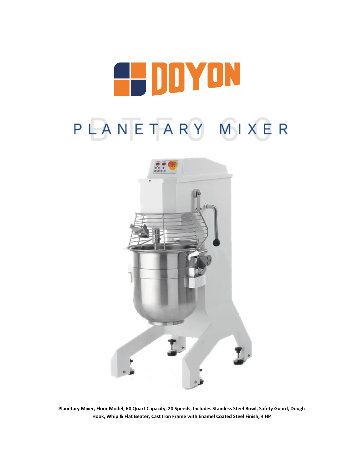

# PLANETARY MIXER



**Planetary Mixer, Floor Model, 60 Quart Capacity, 20 Speeds, Includes Stainless Steel Bowl, Safety Guard, Dough Hook, Whip & Flat Beater, Cast Iron Frame with Enamel Coated Steel Finish, 4 HP**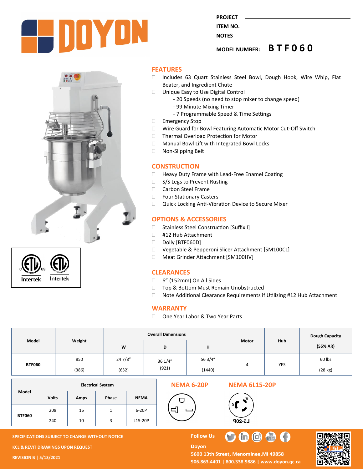





#### **FEATURES**

- □ Includes 63 Quart Stainless Steel Bowl, Dough Hook, Wire Whip, Flat Beater, and Ingredient Chute
- □ Unique Easy to Use Digital Control
	- 20 Speeds (no need to stop mixer to change speed)
	- 99 Minute Mixing Timer
	- 7 Programmable Speed & Time Settings
- □ Emergency Stop
- □ Wire Guard for Bowl Featuring Automatic Motor Cut-Off Switch
- □ Thermal Overload Protection for Motor
- □ Manual Bowl Lift with Integrated Bowl Locks
- □ Non-Slipping Belt

#### **CONSTRUCTION**

- □ Heavy Duty Frame with Lead-Free Enamel Coating
- □ S/S Legs to Prevent Rusting
- □ Carbon Steel Frame
- □ Four Stationary Casters
- □ Quick Locking Anti-Vibration Device to Secure Mixer

#### **OPTIONS & ACCESSORIES**

- □ Stainless Steel Construction [Suffix I]
- □ #12 Hub Attachment
- Dolly [BTF060D]
- □ Vegetable & Pepperoni Slicer Attachment [SM100CL]
- Meat Grinder Attachment [SM100HV]

#### **CLEARANCES**

- 6" (152mm) On All Sides
- □ Top & Bottom Must Remain Unobstructed
- □ Note Additional Clearance Requirements if Utilizing #12 Hub Attachment

#### **WARRANTY**

□ One Year Labor & Two Year Parts

| Model         | Weight | <b>Overall Dimensions</b> |                  |         |       |            | Dough Capacity |
|---------------|--------|---------------------------|------------------|---------|-------|------------|----------------|
|               |        | W                         | D                | н       | Motor | <b>Hub</b> | (55% AR)       |
| <b>BTF060</b> | 850    | 24 7/8"                   | 36 1/4"<br>(921) | 56 3/4" | 4     | <b>YES</b> | 60 lbs         |
|               | (386)  | (632)                     |                  | (1440)  |       |            | (28 kg)        |

|               | <b>Electrical System</b> |             |       |             |
|---------------|--------------------------|-------------|-------|-------------|
| Model         | <b>Volts</b>             | <b>Amps</b> | Phase | <b>NEMA</b> |
| <b>BTF060</b> | 208                      | 16          |       | 6-20P       |
|               | 240                      | 10          |       | L15-20P     |

**SPECIFICATIONS SUBJECT TO CHANGE WITHOUT NOTICE FOLLOW US** 

**KCL & REVIT DRAWINGS UPON REQUEST** 

**REVISION B | 5/13/2021**



**Doyon** 



5600 13th Street, Menominee, MI 49858 **906.863.4401 | 800.338.9886 | [www.doyon.qc.ca](http://www.doyon.qc.ca/)**

 $\bullet$ 

Tric



**PROJECT ITEM NO.** 

**NOTES** 

**MODEL NUMBER: B T F 0 6 0**